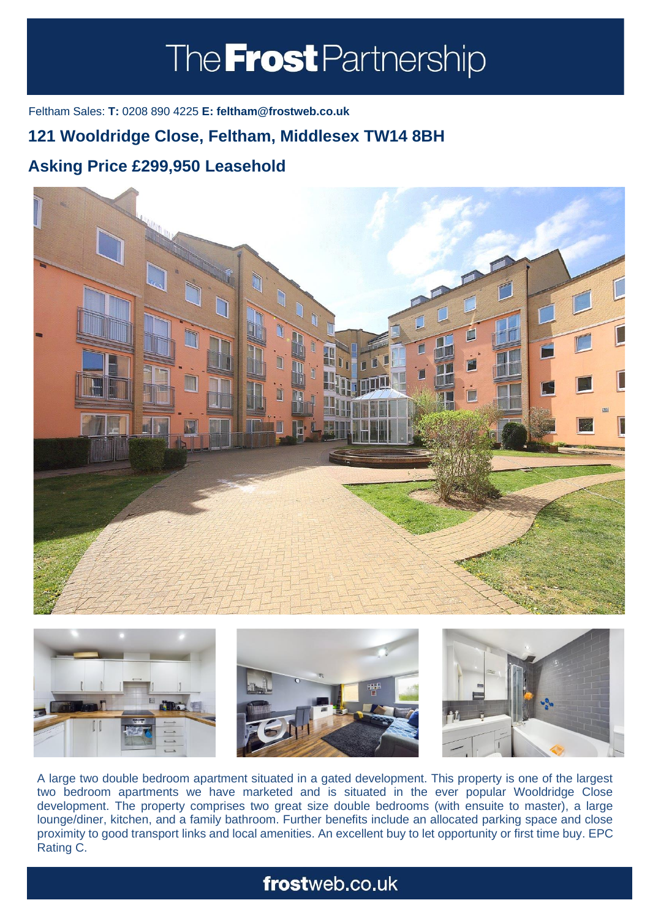# The **Frost** Partnership

Feltham Sales: **T:** 0208 890 4225 **E: feltham@frostweb.co.uk**

### **121 Wooldridge Close, Feltham, Middlesex TW14 8BH**

### **Asking Price £299,950 Leasehold (Property.Lettings.RentQual == "PA" ? "Rent on application" :**





A large two double bedroom apartment situated in a gated development. This property is one of the largest two bedroom apartments we have marketed and is situated in the ever popular Wooldridge Close development. The property comprises two great size double bedrooms (with ensuite to master), a large lounge/diner, kitchen, and a family bathroom. Further benefits include an allocated parking space and close proximity to good transport links and local amenities. An excellent buy to let opportunity or first time buy. EPC Rating C.

## frostweb.co.uk